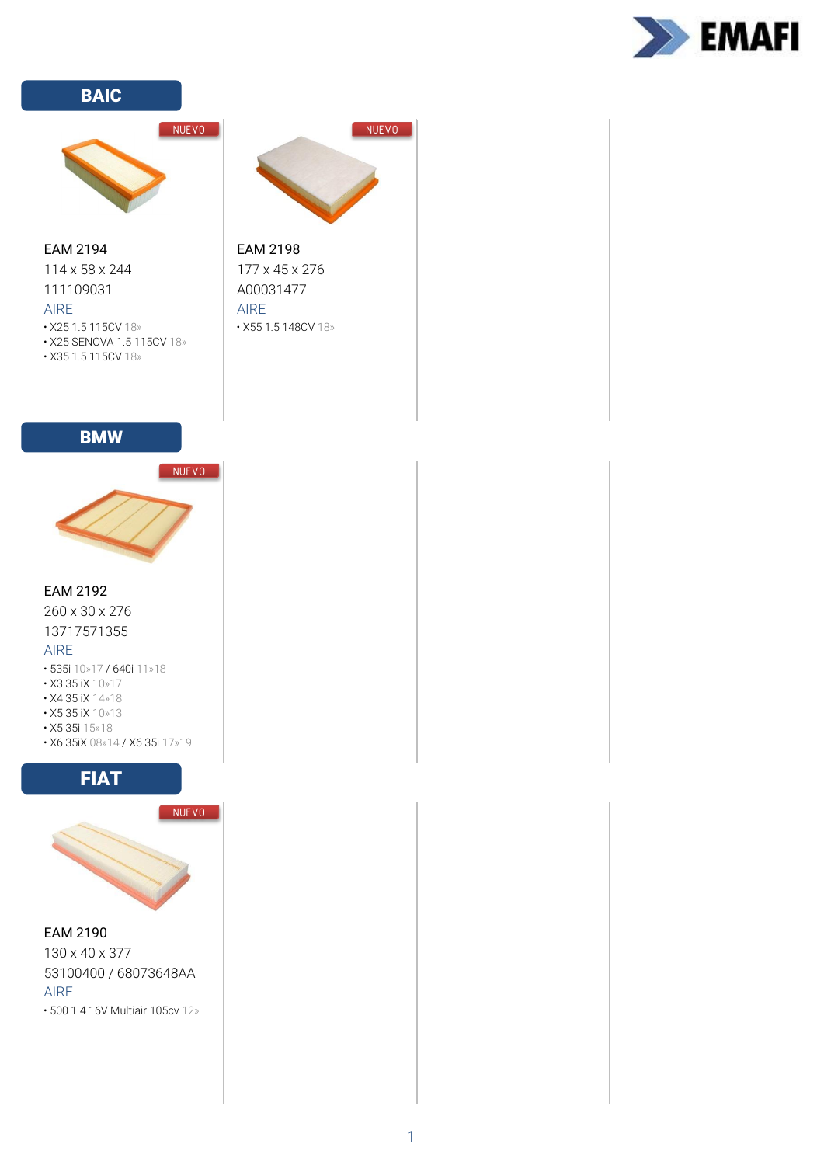

### **BAIC**



### **EAM 2194**

114 x 58 x 244 111109031 AIRE

- X25 1.5 115CV 18»
- X25 SENOVA 1.5 115CV 18»
- X35 1.5 115CV 18»

### **BMW**



**EAM 2192** 260 x 30 x 276 13717571355

### **AIRE**

- 535i 10»17 / 640i 11»18
- X3 35 iX 10 > 17
- $\cdot$  X4 35 iX 14 > 18
- X5 35 iX 10 > 13
- $\cdot$  X5 35i 15»18
- X6 35iX 08»14 / X6 35i 17»19

# **FIAT**

NUEVO



**EAM 2190** 130 x 40 x 377 53100400 / 68073648AA **AIRE** 

• 500 1.4 16V Multiair 105cv 12»



### **EAM 2198** 177 x 45 x 276 A00031477 AIRE • X55 1.5 148CV 18»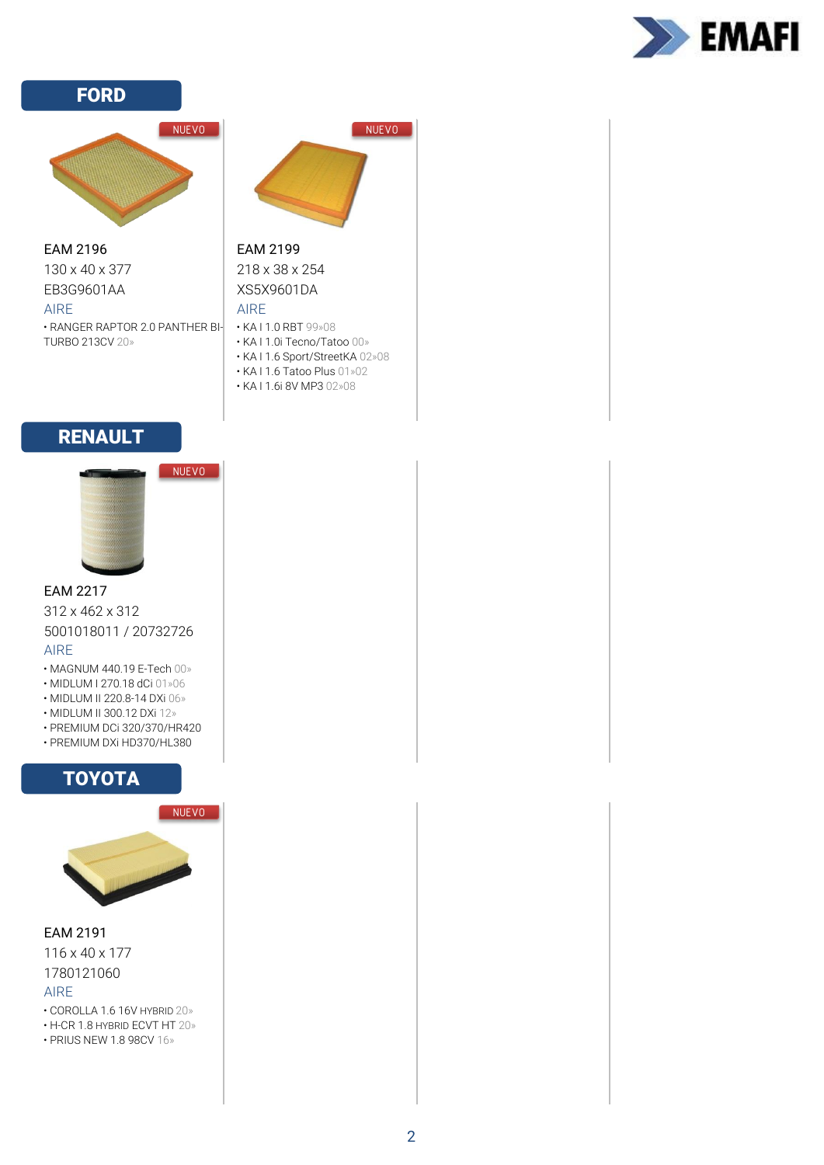

## **FORD**



# EAM 2196 EAM 2199

AIRE AIRE • RANGER RAPTOR 2.0 PANTHER BI-TURBO 213CV 20»





# 130 x 40 x 377 218 x 38 x 254 EB3G9601AA XS5X9601DA

- 
- KA I 1.0 RBT 99»08 • KA I 1.0i Tecno/Tatoo 00»
- KA I 1.6 Sport/StreetKA 02»08
- KA I 1.6 Tatoo Plus 01»02
- KA I 1.6i 8V MP3 02»08

# RENAULT



### EAM 2217 312 x 462 x 312 5001018011 / 20732726 AIRE

- MAGNUM 440.19 E-Tech 00»
- MIDLUM I 270.18 dCi 01»06
- MIDLUM II 220.8-14 DXi 06»
- MIDLUM II 300.12 DXi 12»
- PREMIUM DCi 320/370/HR420
- PREMIUM DXi HD370/HL380

# TOYOTA

NUEVO



EAM 2191 116 x 40 x 177 1780121060 AIRE

- COROLLA 1.6 16V HYBRID 20»
- H-CR 1.8 HYBRID ECVT HT 20»
- PRIUS NEW 1.8 98CV 16»